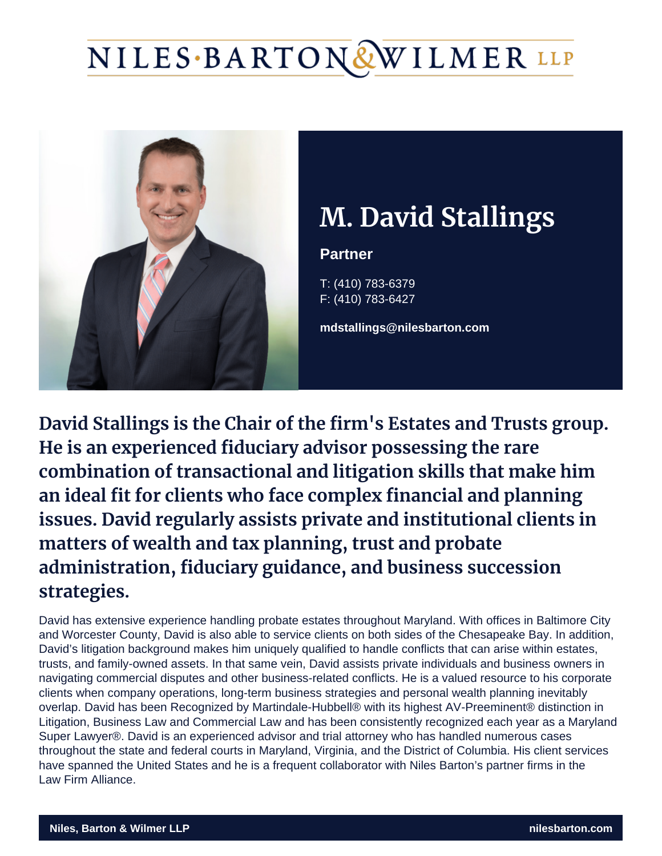# M. David Stallin

**Partner** 

T: (410) 783-6379 F: (410) 783-6427

mdstallings@nilesbarton.com

David Stallings is the Chair of the firm's Estates and Trusts group. He is an experienced fiduciary advisor possessing combination of transactional and litigation skills t an ideal fit for clients who face complex financial issues. David regularly assists private and institu matters of wealth and tax planning, trust and prob administration, fiduciary guidance, and business s strategies.

David has extensive experience handling probate estates throughout Maryland. With offices in Baltimore City and Worcester County, David is also able to service clients on both sides of the Chesapeake Bay. In addition, David's litigation background makes him uniquely qualified to handle conflicts that can arise within estates, trusts, and family-owned assets. In that same vein, David assists private individuals and business owners in navigating commercial disputes and other business-related conflicts. He is a valued resource to his corporate clients when company operations, long-term business strategies and personal wealth planning inevitably overlap. David has been Recognized by Martindale-Hubbell® with its highest AV-Preeminent® distinction in Litigation, Business Law and Commercial Law and has been consistently recognized each year as a Maryland Super Lawyer®. David is an experienced advisor and trial attorney who has handled numerous cases throughout the state and federal courts in Maryland, Virginia, and the District of Columbia. His client services have spanned the United States and he is a frequent collaborator with Niles Barton's partner firms in the [Law Firm Alliance.](https://www.lawfirmalliance.org/)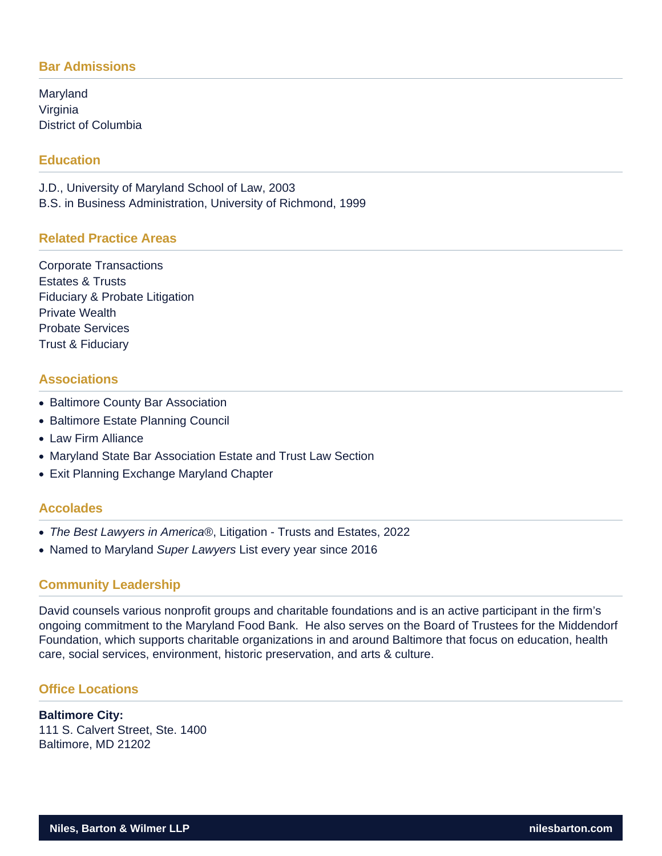## **Bar Admissions**

Maryland Virginia District of Columbia

## **Education**

J.D., University of Maryland School of Law, 2003 B.S. in Business Administration, University of Richmond, 1999

## **Related Practice Areas**

Corporate Transactions Estates & Trusts Fiduciary & Probate Litigation Private Wealth Probate Services Trust & Fiduciary

## **Associations**

- Baltimore County Bar Association
- Baltimore Estate Planning Council
- Law Firm Alliance
- Maryland State Bar Association Estate and Trust Law Section
- Exit Planning Exchange Maryland Chapter

### **Accolades**

- The Best Lawyers in America®, Litigation Trusts and Estates, 2022
- Named to Maryland Super Lawyers List every year since 2016

### **Community Leadership**

David counsels various nonprofit groups and charitable foundations and is an active participant in the firm's ongoing commitment to the Maryland Food Bank. He also serves on the Board of Trustees for the Middendorf Foundation, which supports charitable organizations in and around Baltimore that focus on education, health care, social services, environment, historic preservation, and arts & culture.

## **Office Locations**

#### **Baltimore City:** 111 S. Calvert Street, Ste. 1400 Baltimore, MD 21202